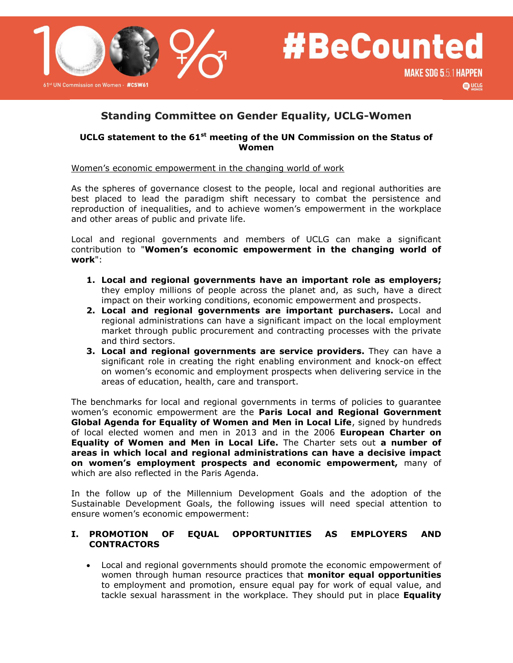



# **Standing Committee on Gender Equality, UCLG-Women**

#### **UCLG statement to the 61st meeting of the UN Commission on the Status of Women**

Women's economic empowerment in the changing world of work

As the spheres of governance closest to the people, local and regional authorities are best placed to lead the paradigm shift necessary to combat the persistence and reproduction of inequalities, and to achieve women's empowerment in the workplace and other areas of public and private life.

Local and regional governments and members of UCLG can make a significant contribution to "**Women's economic empowerment in the changing world of work**":

- **1. Local and regional governments have an important role as employers;** they employ millions of people across the planet and, as such, have a direct impact on their working conditions, economic empowerment and prospects.
- **2. Local and regional governments are important purchasers.** Local and regional administrations can have a significant impact on the local employment market through public procurement and contracting processes with the private and third sectors.
- **3. Local and regional governments are service providers.** They can have a significant role in creating the right enabling environment and knock-on effect on women's economic and employment prospects when delivering service in the areas of education, health, care and transport.

The benchmarks for local and regional governments in terms of policies to guarantee women's economic empowerment are the **Paris Local and Regional Government Global Agenda for Equality of Women and Men in Local Life**, signed by hundreds of local elected women and men in 2013 and in the 2006 **European Charter on Equality of Women and Men in Local Life.** The Charter sets out **a number of areas in which local and regional administrations can have a decisive impact on women's employment prospects and economic empowerment,** many of which are also reflected in the Paris Agenda.

In the follow up of the Millennium Development Goals and the adoption of the Sustainable Development Goals, the following issues will need special attention to ensure women's economic empowerment:

#### **I. PROMOTION OF EQUAL OPPORTUNITIES AS EMPLOYERS AND CONTRACTORS**

 Local and regional governments should promote the economic empowerment of women through human resource practices that **monitor equal opportunities** to employment and promotion, ensure equal pay for work of equal value, and tackle sexual harassment in the workplace. They should put in place **Equality**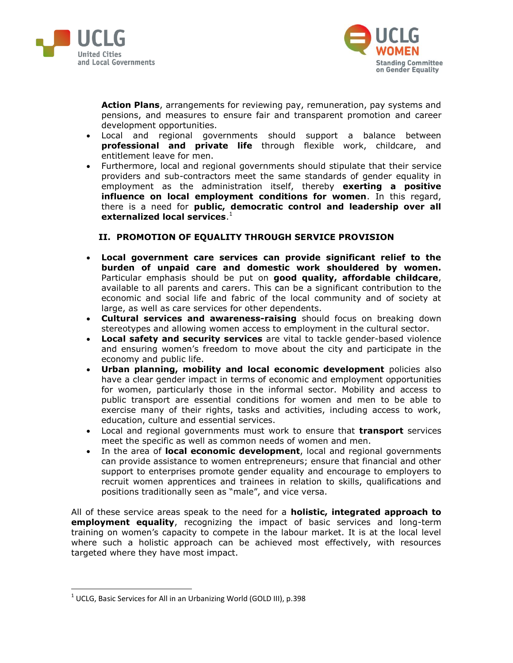



**Action Plans**, arrangements for reviewing pay, remuneration, pay systems and pensions, and measures to ensure fair and transparent promotion and career development opportunities.

- Local and regional governments should support a balance between **professional and private life** through flexible work, childcare, and entitlement leave for men.
- Furthermore, local and regional governments should stipulate that their service providers and sub-contractors meet the same standards of gender equality in employment as the administration itself, thereby **exerting a positive influence on local employment conditions for women**. In this regard, there is a need for **public, democratic control and leadership over all externalized local services**. 1

## **II. PROMOTION OF EQUALITY THROUGH SERVICE PROVISION**

- **Local government care services can provide significant relief to the burden of unpaid care and domestic work shouldered by women.**  Particular emphasis should be put on **good quality, affordable childcare**, available to all parents and carers. This can be a significant contribution to the economic and social life and fabric of the local community and of society at large, as well as care services for other dependents.
- **Cultural services and awareness-raising** should focus on breaking down stereotypes and allowing women access to employment in the cultural sector.
- **Local safety and security services** are vital to tackle gender-based violence and ensuring women's freedom to move about the city and participate in the economy and public life.
- **Urban planning, mobility and local economic development** policies also have a clear gender impact in terms of economic and employment opportunities for women, particularly those in the informal sector. Mobility and access to public transport are essential conditions for women and men to be able to exercise many of their rights, tasks and activities, including access to work, education, culture and essential services.
- Local and regional governments must work to ensure that **transport** services meet the specific as well as common needs of women and men.
- In the area of **local economic development**, local and regional governments can provide assistance to women entrepreneurs; ensure that financial and other support to enterprises promote gender equality and encourage to employers to recruit women apprentices and trainees in relation to skills, qualifications and positions traditionally seen as "male", and vice versa.

All of these service areas speak to the need for a **holistic, integrated approach to employment equality**, recognizing the impact of basic services and long-term training on women's capacity to compete in the labour market. It is at the local level where such a holistic approach can be achieved most effectively, with resources targeted where they have most impact.

 $\overline{a}$ 

 $^{1}$  UCLG, Basic Services for All in an Urbanizing World (GOLD III), p.398